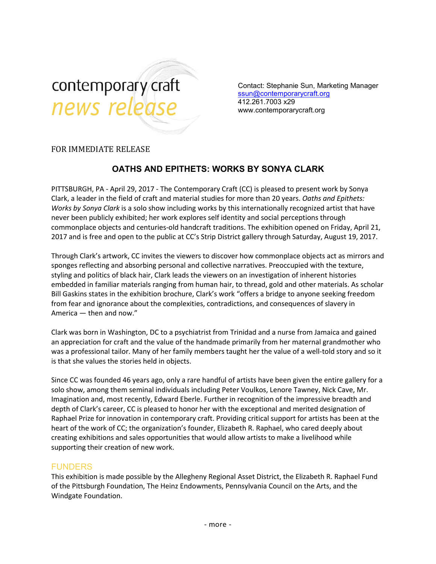

Contact: Stephanie Sun, Marketing Manager [ssun@contemporarycraft.org](mailto:ssun@contemporarycraft.org) 412.261.7003 x29 www.contemporarycraft.org

## FOR IMMEDIATE RELEASE

# **OATHS AND EPITHETS: WORKS BY SONYA CLARK**

PITTSBURGH, PA - April 29, 2017 - The Contemporary Craft(CC) is pleased to present work by Sonya Clark, a leader in the field of craft and material studies for more than 20 years. *Oaths and Epithets: Works by Sonya Clark* is a solo show including works by this internationally recognized artist that have never been publicly exhibited; her work explores self identity and social perceptions through commonplace objects and centuries-old handcraft traditions. The exhibition opened on Friday, April 21, 2017 and is free and open to the public at CC's Strip District gallery through Saturday, August 19, 2017.

Through Clark's artwork, CC invites the viewers to discover how commonplace objects act as mirrors and sponges reflecting and absorbing personal and collective narratives. Preoccupied with the texture, styling and politics of black hair, Clark leads the viewers on an investigation of inherent histories embedded in familiar materials ranging from human hair, to thread, gold and other materials. As scholar Bill Gaskins states in the exhibition brochure, Clark's work "offers a bridge to anyone seeking freedom from fear and ignorance about the complexities, contradictions, and consequences of slavery in America — then and now."

Clark was born in Washington, DC to a psychiatrist from Trinidad and a nurse from Jamaica and gained an appreciation for craft and the value of the handmade primarily from her maternal grandmother who was a professional tailor. Many of her family members taught her the value of a well-told story and so it is that she values the stories held in objects.

Since CC was founded 46 years ago, only a rare handful of artists have been given the entire gallery for a solo show, among them seminal individuals including Peter Voulkos, Lenore Tawney, Nick Cave, Mr. Imagination and, most recently, Edward Eberle. Further in recognition of the impressive breadth and depth of Clark's career, CC is pleased to honor her with the exceptional and merited designation of Raphael Prize for innovation in contemporary craft. Providing critical support for artists has been at the heart of the work of CC; the organization's founder, Elizabeth R. Raphael, who cared deeply about creating exhibitions and sales opportunities that would allow artists to make a livelihood while supporting their creation of new work.

### FUNDERS

This exhibition is made possible by the Allegheny Regional Asset District, the Elizabeth R. Raphael Fund of the Pittsburgh Foundation, The Heinz Endowments, Pennsylvania Council on the Arts, and the Windgate Foundation.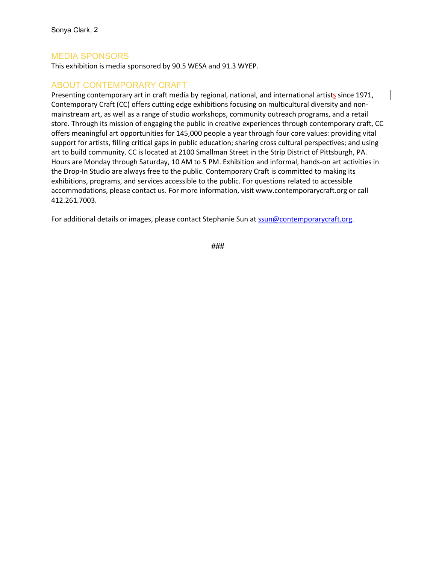# MEDIA SPONSORS

This exhibition is media sponsored by 90.5 WESA and 91.3 WYEP.

### ABOUT CONTEMPORARY CRAFT

Presenting contemporary art in craft media by regional, national, and international artists since 1971, Contemporary Craft (CC) offers cutting edge exhibitions focusing on multicultural diversity and non mainstream art, as well as a range of studio workshops, community outreach programs, and a retail store. Through its mission of engaging the public in creative experiences through contemporary craft, CC offers meaningful art opportunities for 145,000 people a year through four core values: providing vital support for artists, filling critical gaps in public education; sharing cross cultural perspectives; and using art to build community. CC is located at 2100 Smallman Street in the Strip District of Pittsburgh, PA. Hours are Monday through Saturday, 10 AM to 5 PM. Exhibition and informal, hands-on art activities in the Drop-In Studio are always free to the public. Contemporary Craft is committed to making its exhibitions, programs, and services accessible to the public. For questions related to accessible accommodations, please contact us. For more information, visit www.contemporarycraft.org or call 412.261.7003.

For additional details or images, please contact Stephanie Sun at [ssun@contemporarycraft.org.](mailto:ssun@contemporarycraft.org)

###